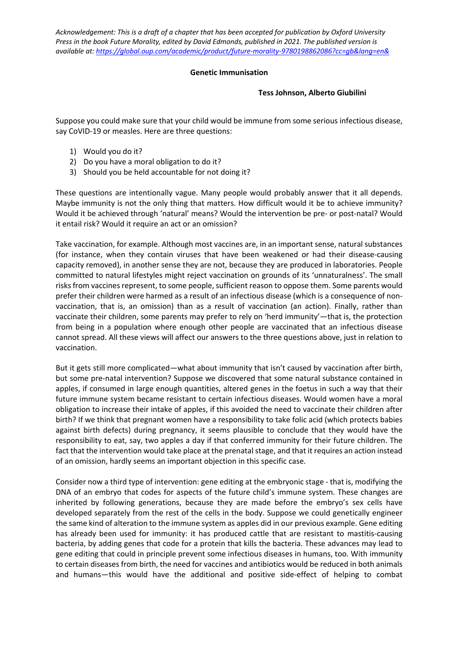## **Genetic Immunisation**

## **Tess Johnson, Alberto Giubilini**

Suppose you could make sure that your child would be immune from some serious infectious disease, say CoVID-19 or measles. Here are three questions:

- 1) Would you do it?
- 2) Do you have a moral obligation to do it?
- 3) Should you be held accountable for not doing it?

These questions are intentionally vague. Many people would probably answer that it all depends. Maybe immunity is not the only thing that matters. How difficult would it be to achieve immunity? Would it be achieved through 'natural' means? Would the intervention be pre- or post-natal? Would it entail risk? Would it require an act or an omission?

Take vaccination, for example. Although most vaccines are, in an important sense, natural substances (for instance, when they contain viruses that have been weakened or had their disease-causing capacity removed), in another sense they are not, because they are produced in laboratories. People committed to natural lifestyles might reject vaccination on grounds of its 'unnaturalness'. The small risks from vaccines represent, to some people, sufficient reason to oppose them. Some parents would prefer their children were harmed as a result of an infectious disease (which is a consequence of nonvaccination, that is, an omission) than as a result of vaccination (an action). Finally, rather than vaccinate their children, some parents may prefer to rely on 'herd immunity'—that is, the protection from being in a population where enough other people are vaccinated that an infectious disease cannot spread. All these views will affect our answers to the three questions above, just in relation to vaccination.

But it gets still more complicated—what about immunity that isn't caused by vaccination after birth, but some pre-natal intervention? Suppose we discovered that some natural substance contained in apples, if consumed in large enough quantities, altered genes in the foetus in such a way that their future immune system became resistant to certain infectious diseases. Would women have a moral obligation to increase their intake of apples, if this avoided the need to vaccinate their children after birth? If we think that pregnant women have a responsibility to take folic acid (which protects babies against birth defects) during pregnancy, it seems plausible to conclude that they would have the responsibility to eat, say, two apples a day if that conferred immunity for their future children. The fact that the intervention would take place at the prenatal stage, and that it requires an action instead of an omission, hardly seems an important objection in this specific case.

Consider now a third type of intervention: gene editing at the embryonic stage - that is, modifying the DNA of an embryo that codes for aspects of the future child's immune system. These changes are inherited by following generations, because they are made before the embryo's sex cells have developed separately from the rest of the cells in the body. Suppose we could genetically engineer the same kind of alteration to the immune system as apples did in our previous example. Gene editing has already been used for immunity: it has produced cattle that are resistant to mastitis-causing bacteria, by adding genes that code for a protein that kills the bacteria. These advances may lead to gene editing that could in principle prevent some infectious diseases in humans, too. With immunity to certain diseases from birth, the need for vaccines and antibiotics would be reduced in both animals and humans—this would have the additional and positive side-effect of helping to combat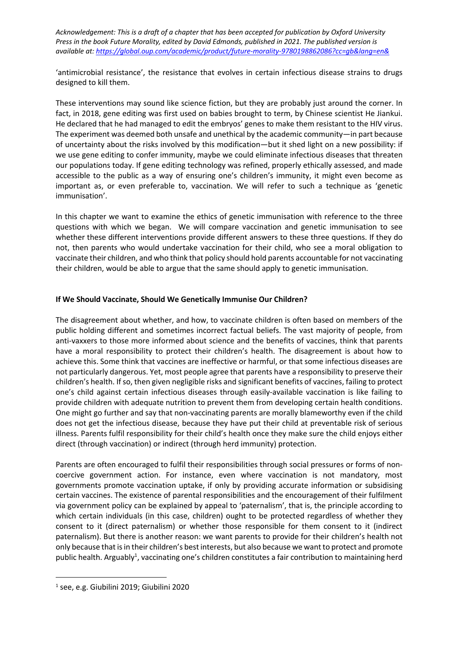'antimicrobial resistance', the resistance that evolves in certain infectious disease strains to drugs designed to kill them.

These interventions may sound like science fiction, but they are probably just around the corner. In fact, in 2018, gene editing was first used on babies brought to term, by Chinese scientist He Jiankui. He declared that he had managed to edit the embryos' genes to make them resistant to the HIV virus. The experiment was deemed both unsafe and unethical by the academic community—in part because of uncertainty about the risks involved by this modification—but it shed light on a new possibility: if we use gene editing to confer immunity, maybe we could eliminate infectious diseases that threaten our populations today. If gene editing technology was refined, properly ethically assessed, and made accessible to the public as a way of ensuring one's children's immunity, it might even become as important as, or even preferable to, vaccination. We will refer to such a technique as 'genetic immunisation'.

In this chapter we want to examine the ethics of genetic immunisation with reference to the three questions with which we began. We will compare vaccination and genetic immunisation to see whether these different interventions provide different answers to these three questions. If they do not, then parents who would undertake vaccination for their child, who see a moral obligation to vaccinate their children, and who think that policy should hold parents accountable for not vaccinating their children, would be able to argue that the same should apply to genetic immunisation.

## **If We Should Vaccinate, Should We Genetically Immunise Our Children?**

The disagreement about whether, and how, to vaccinate children is often based on members of the public holding different and sometimes incorrect factual beliefs. The vast majority of people, from anti-vaxxers to those more informed about science and the benefits of vaccines, think that parents have a moral responsibility to protect their children's health. The disagreement is about how to achieve this. Some think that vaccines are ineffective or harmful, or that some infectious diseases are not particularly dangerous. Yet, most people agree that parents have a responsibility to preserve their children's health. If so, then given negligible risks and significant benefits of vaccines, failing to protect one's child against certain infectious diseases through easily-available vaccination is like failing to provide children with adequate nutrition to prevent them from developing certain health conditions. One might go further and say that non-vaccinating parents are morally blameworthy even if the child does not get the infectious disease, because they have put their child at preventable risk of serious illness. Parents fulfil responsibility for their child's health once they make sure the child enjoys either direct (through vaccination) or indirect (through herd immunity) protection.

Parents are often encouraged to fulfil their responsibilities through social pressures or forms of noncoercive government action. For instance, even where vaccination is not mandatory, most governments promote vaccination uptake, if only by providing accurate information or subsidising certain vaccines. The existence of parental responsibilities and the encouragement of their fulfilment via government policy can be explained by appeal to 'paternalism', that is, the principle according to which certain individuals (in this case, children) ought to be protected regardless of whether they consent to it (direct paternalism) or whether those responsible for them consent to it (indirect paternalism). But there is another reason: we want parents to provide for their children's health not only because that isin their children's best interests, but also because we want to protect and promote public health. Arguably<sup>1</sup>, vaccinating one's children constitutes a fair contribution to maintaining herd

<sup>1</sup> see, e.g. Giubilini 2019; Giubilini 2020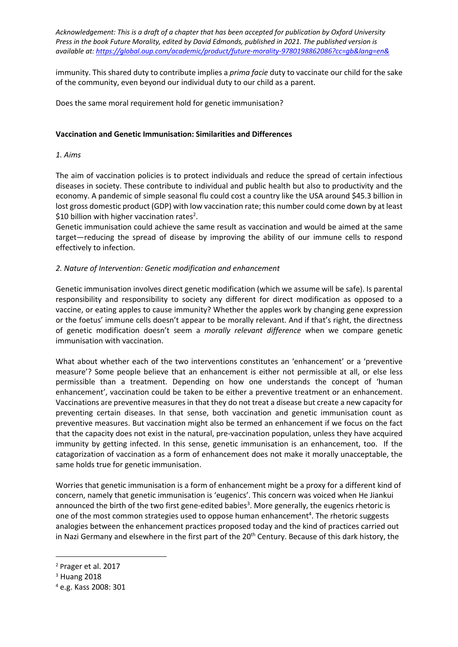immunity. This shared duty to contribute implies a *prima facie* duty to vaccinate our child for the sake of the community, even beyond our individual duty to our child as a parent.

Does the same moral requirement hold for genetic immunisation?

## **Vaccination and Genetic Immunisation: Similarities and Differences**

## *1. Aims*

The aim of vaccination policies is to protect individuals and reduce the spread of certain infectious diseases in society. These contribute to individual and public health but also to productivity and the economy. A pandemic of simple seasonal flu could cost a country like the USA around \$45.3 billion in lost gross domestic product (GDP) with low vaccination rate; this number could come down by at least \$10 billion with higher vaccination rates<sup>2</sup>.

Genetic immunisation could achieve the same result as vaccination and would be aimed at the same target—reducing the spread of disease by improving the ability of our immune cells to respond effectively to infection.

## *2. Nature of Intervention: Genetic modification and enhancement*

Genetic immunisation involves direct genetic modification (which we assume will be safe). Is parental responsibility and responsibility to society any different for direct modification as opposed to a vaccine, or eating apples to cause immunity? Whether the apples work by changing gene expression or the foetus' immune cells doesn't appear to be morally relevant. And if that's right, the directness of genetic modification doesn't seem a *morally relevant difference* when we compare genetic immunisation with vaccination.

What about whether each of the two interventions constitutes an 'enhancement' or a 'preventive measure'? Some people believe that an enhancement is either not permissible at all, or else less permissible than a treatment. Depending on how one understands the concept of 'human enhancement', vaccination could be taken to be either a preventive treatment or an enhancement. Vaccinations are preventive measures in that they do not treat a disease but create a new capacity for preventing certain diseases. In that sense, both vaccination and genetic immunisation count as preventive measures. But vaccination might also be termed an enhancement if we focus on the fact that the capacity does not exist in the natural, pre-vaccination population, unless they have acquired immunity by getting infected. In this sense, genetic immunisation is an enhancement, too. If the catagorization of vaccination as a form of enhancement does not make it morally unacceptable, the same holds true for genetic immunisation.

Worries that genetic immunisation is a form of enhancement might be a proxy for a different kind of concern, namely that genetic immunisation is 'eugenics'. This concern was voiced when He Jiankui announced the birth of the two first gene-edited babies<sup>3</sup>. More generally, the eugenics rhetoric is one of the most common strategies used to oppose human enhancement<sup>4</sup>. The rhetoric suggests analogies between the enhancement practices proposed today and the kind of practices carried out in Nazi Germany and elsewhere in the first part of the 20<sup>th</sup> Century. Because of this dark history, the

<sup>2</sup> Prager et al. 2017

<sup>3</sup> Huang 2018

<sup>4</sup> e.g. Kass 2008: 301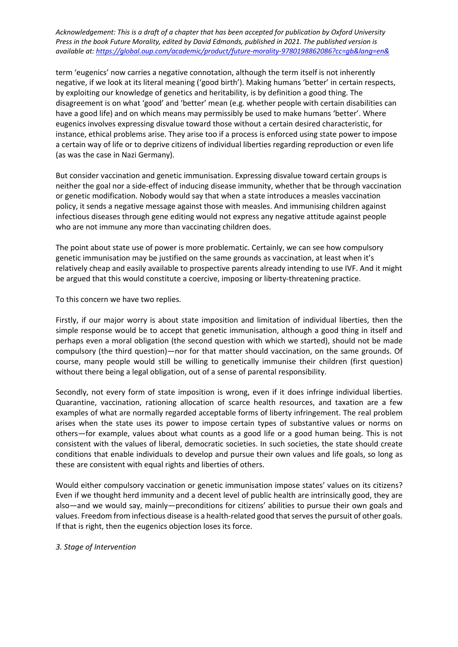term 'eugenics' now carries a negative connotation, although the term itself is not inherently negative, if we look at its literal meaning ('good birth'). Making humans 'better' in certain respects, by exploiting our knowledge of genetics and heritability, is by definition a good thing. The disagreement is on what 'good' and 'better' mean (e.g. whether people with certain disabilities can have a good life) and on which means may permissibly be used to make humans 'better'. Where eugenics involves expressing disvalue toward those without a certain desired characteristic, for instance, ethical problems arise. They arise too if a process is enforced using state power to impose a certain way of life or to deprive citizens of individual liberties regarding reproduction or even life (as was the case in Nazi Germany).

But consider vaccination and genetic immunisation. Expressing disvalue toward certain groups is neither the goal nor a side-effect of inducing disease immunity, whether that be through vaccination or genetic modification. Nobody would say that when a state introduces a measles vaccination policy, it sends a negative message against those with measles. And immunising children against infectious diseases through gene editing would not express any negative attitude against people who are not immune any more than vaccinating children does.

The point about state use of power is more problematic. Certainly, we can see how compulsory genetic immunisation may be justified on the same grounds as vaccination, at least when it's relatively cheap and easily available to prospective parents already intending to use IVF. And it might be argued that this would constitute a coercive, imposing or liberty-threatening practice.

To this concern we have two replies.

Firstly, if our major worry is about state imposition and limitation of individual liberties, then the simple response would be to accept that genetic immunisation, although a good thing in itself and perhaps even a moral obligation (the second question with which we started), should not be made compulsory (the third question)—nor for that matter should vaccination, on the same grounds. Of course, many people would still be willing to genetically immunise their children (first question) without there being a legal obligation, out of a sense of parental responsibility.

Secondly, not every form of state imposition is wrong, even if it does infringe individual liberties. Quarantine, vaccination, rationing allocation of scarce health resources, and taxation are a few examples of what are normally regarded acceptable forms of liberty infringement. The real problem arises when the state uses its power to impose certain types of substantive values or norms on others—for example, values about what counts as a good life or a good human being. This is not consistent with the values of liberal, democratic societies. In such societies, the state should create conditions that enable individuals to develop and pursue their own values and life goals, so long as these are consistent with equal rights and liberties of others.

Would either compulsory vaccination or genetic immunisation impose states' values on its citizens? Even if we thought herd immunity and a decent level of public health are intrinsically good, they are also—and we would say, mainly—preconditions for citizens' abilities to pursue their own goals and values. Freedom from infectious disease is a health-related good that serves the pursuit of other goals. If that is right, then the eugenics objection loses its force.

# *3. Stage of Intervention*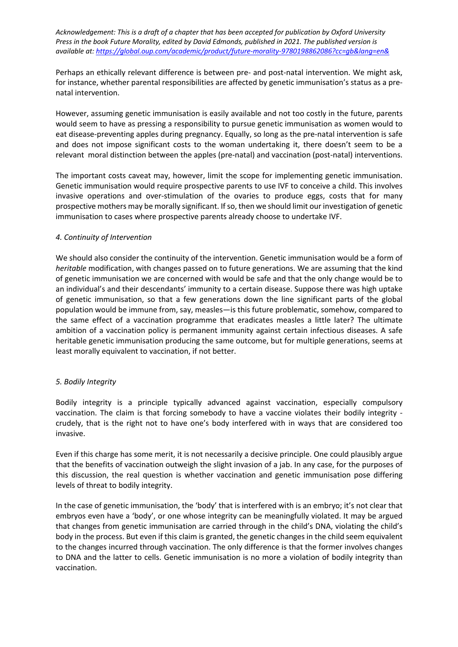Perhaps an ethically relevant difference is between pre- and post-natal intervention. We might ask, for instance, whether parental responsibilities are affected by genetic immunisation's status as a prenatal intervention.

However, assuming genetic immunisation is easily available and not too costly in the future, parents would seem to have as pressing a responsibility to pursue genetic immunisation as women would to eat disease-preventing apples during pregnancy. Equally, so long as the pre-natal intervention is safe and does not impose significant costs to the woman undertaking it, there doesn't seem to be a relevant moral distinction between the apples (pre-natal) and vaccination (post-natal) interventions.

The important costs caveat may, however, limit the scope for implementing genetic immunisation. Genetic immunisation would require prospective parents to use IVF to conceive a child. This involves invasive operations and over-stimulation of the ovaries to produce eggs, costs that for many prospective mothers may be morally significant. If so, then we should limit our investigation of genetic immunisation to cases where prospective parents already choose to undertake IVF.

## *4. Continuity of Intervention*

We should also consider the continuity of the intervention. Genetic immunisation would be a form of *heritable* modification, with changes passed on to future generations. We are assuming that the kind of genetic immunisation we are concerned with would be safe and that the only change would be to an individual's and their descendants' immunity to a certain disease. Suppose there was high uptake of genetic immunisation, so that a few generations down the line significant parts of the global population would be immune from, say, measles—is this future problematic, somehow, compared to the same effect of a vaccination programme that eradicates measles a little later? The ultimate ambition of a vaccination policy is permanent immunity against certain infectious diseases. A safe heritable genetic immunisation producing the same outcome, but for multiple generations, seems at least morally equivalent to vaccination, if not better.

# *5. Bodily Integrity*

Bodily integrity is a principle typically advanced against vaccination, especially compulsory vaccination. The claim is that forcing somebody to have a vaccine violates their bodily integrity crudely, that is the right not to have one's body interfered with in ways that are considered too invasive.

Even if this charge has some merit, it is not necessarily a decisive principle. One could plausibly argue that the benefits of vaccination outweigh the slight invasion of a jab. In any case, for the purposes of this discussion, the real question is whether vaccination and genetic immunisation pose differing levels of threat to bodily integrity.

In the case of genetic immunisation, the 'body' that is interfered with is an embryo; it's not clear that embryos even have a 'body', or one whose integrity can be meaningfully violated. It may be argued that changes from genetic immunisation are carried through in the child's DNA, violating the child's body in the process. But even if this claim is granted, the genetic changes in the child seem equivalent to the changes incurred through vaccination. The only difference is that the former involves changes to DNA and the latter to cells. Genetic immunisation is no more a violation of bodily integrity than vaccination.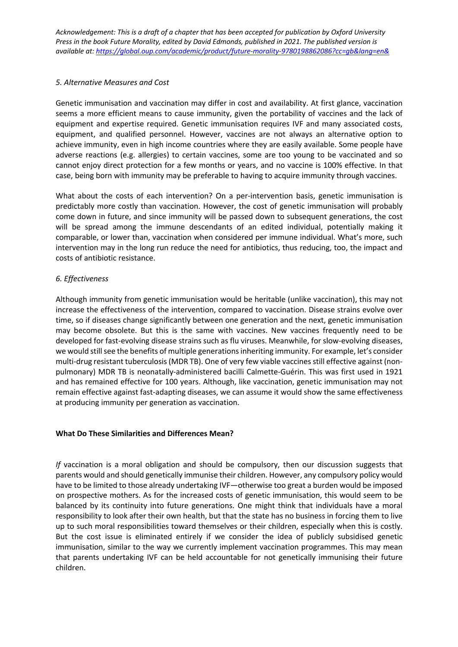## *5. Alternative Measures and Cost*

Genetic immunisation and vaccination may differ in cost and availability. At first glance, vaccination seems a more efficient means to cause immunity, given the portability of vaccines and the lack of equipment and expertise required. Genetic immunisation requires IVF and many associated costs, equipment, and qualified personnel. However, vaccines are not always an alternative option to achieve immunity, even in high income countries where they are easily available. Some people have adverse reactions (e.g. allergies) to certain vaccines, some are too young to be vaccinated and so cannot enjoy direct protection for a few months or years, and no vaccine is 100% effective. In that case, being born with immunity may be preferable to having to acquire immunity through vaccines.

What about the costs of each intervention? On a per-intervention basis, genetic immunisation is predictably more costly than vaccination. However, the cost of genetic immunisation will probably come down in future, and since immunity will be passed down to subsequent generations, the cost will be spread among the immune descendants of an edited individual, potentially making it comparable, or lower than, vaccination when considered per immune individual. What's more, such intervention may in the long run reduce the need for antibiotics, thus reducing, too, the impact and costs of antibiotic resistance.

# *6. Effectiveness*

Although immunity from genetic immunisation would be heritable (unlike vaccination), this may not increase the effectiveness of the intervention, compared to vaccination. Disease strains evolve over time, so if diseases change significantly between one generation and the next, genetic immunisation may become obsolete. But this is the same with vaccines. New vaccines frequently need to be developed for fast-evolving disease strains such as flu viruses. Meanwhile, for slow-evolving diseases, we would still see the benefits of multiple generations inheriting immunity. For example, let's consider multi-drug resistant tuberculosis (MDR TB). One of very few viable vaccinesstill effective against (nonpulmonary) MDR TB is neonatally-administered bacilli Calmette-Guérin. This was first used in 1921 and has remained effective for 100 years. Although, like vaccination, genetic immunisation may not remain effective against fast-adapting diseases, we can assume it would show the same effectiveness at producing immunity per generation as vaccination.

# **What Do These Similarities and Differences Mean?**

*If* vaccination is a moral obligation and should be compulsory, then our discussion suggests that parents would and should genetically immunise their children. However, any compulsory policy would have to be limited to those already undertaking IVF—otherwise too great a burden would be imposed on prospective mothers. As for the increased costs of genetic immunisation, this would seem to be balanced by its continuity into future generations. One might think that individuals have a moral responsibility to look after their own health, but that the state has no business in forcing them to live up to such moral responsibilities toward themselves or their children, especially when this is costly. But the cost issue is eliminated entirely if we consider the idea of publicly subsidised genetic immunisation, similar to the way we currently implement vaccination programmes. This may mean that parents undertaking IVF can be held accountable for not genetically immunising their future children.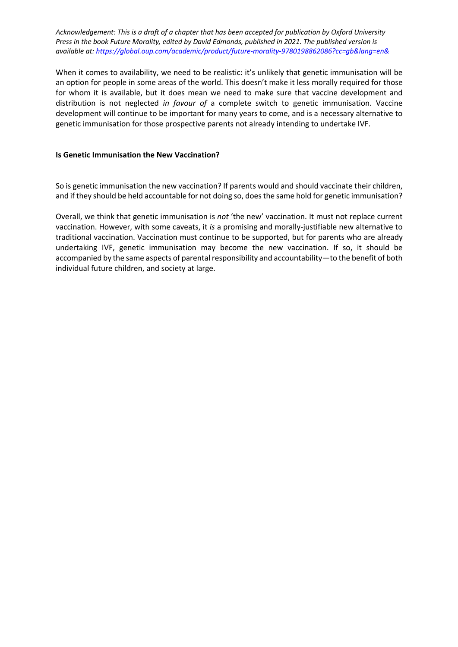When it comes to availability, we need to be realistic: it's unlikely that genetic immunisation will be an option for people in some areas of the world. This doesn't make it less morally required for those for whom it is available, but it does mean we need to make sure that vaccine development and distribution is not neglected *in favour of* a complete switch to genetic immunisation. Vaccine development will continue to be important for many years to come, and is a necessary alternative to genetic immunisation for those prospective parents not already intending to undertake IVF.

#### **Is Genetic Immunisation the New Vaccination?**

So is genetic immunisation the new vaccination? If parents would and should vaccinate their children, and if they should be held accountable for not doing so, does the same hold for genetic immunisation?

Overall, we think that genetic immunisation is *not* 'the new' vaccination. It must not replace current vaccination. However, with some caveats, it *is* a promising and morally-justifiable new alternative to traditional vaccination. Vaccination must continue to be supported, but for parents who are already undertaking IVF, genetic immunisation may become the new vaccination. If so, it should be accompanied by the same aspects of parental responsibility and accountability—to the benefit of both individual future children, and society at large.